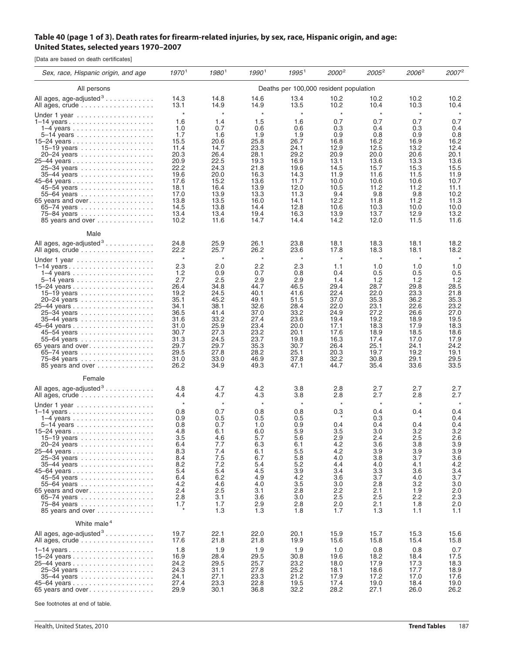## Table 40 (page 1 of 3). Death rates for firearm-related injuries, by sex, race, Hispanic origin, and age: **United States, selected years 1970–2007**

[Data are based on death certificates]

| Sex, race, Hispanic origin, and age                                                                                                                                                                                 | 19701                                                                                                             | $1980^1$                                                                                                                | $1990^{\,\rm l}$                                                                                                        | $1995^1$                                                                                                                | 2000 <sup>2</sup>                                                                                                | $2005^2$                                                                                                                 | 2006 <sup>2</sup>                                                                                                | 2007 <sup>2</sup>                                                                                                       |  |
|---------------------------------------------------------------------------------------------------------------------------------------------------------------------------------------------------------------------|-------------------------------------------------------------------------------------------------------------------|-------------------------------------------------------------------------------------------------------------------------|-------------------------------------------------------------------------------------------------------------------------|-------------------------------------------------------------------------------------------------------------------------|------------------------------------------------------------------------------------------------------------------|--------------------------------------------------------------------------------------------------------------------------|------------------------------------------------------------------------------------------------------------------|-------------------------------------------------------------------------------------------------------------------------|--|
| All persons                                                                                                                                                                                                         | Deaths per 100,000 resident population                                                                            |                                                                                                                         |                                                                                                                         |                                                                                                                         |                                                                                                                  |                                                                                                                          |                                                                                                                  |                                                                                                                         |  |
| All ages, age-adjusted <sup>3</sup>                                                                                                                                                                                 | 14.3                                                                                                              | 14.8                                                                                                                    | 14.6                                                                                                                    | 13.4                                                                                                                    | 10.2                                                                                                             | 10.2                                                                                                                     | 10.2                                                                                                             | 10.2                                                                                                                    |  |
| All ages, crude                                                                                                                                                                                                     | 13.1                                                                                                              | 14.9                                                                                                                    | 14.9                                                                                                                    | 13.5                                                                                                                    | 10.2                                                                                                             | 10.4                                                                                                                     | 10.3                                                                                                             | 10.4                                                                                                                    |  |
| Under 1 year $\ldots \ldots \ldots \ldots \ldots$                                                                                                                                                                   | $\star$                                                                                                           | $\star$                                                                                                                 | $\star$                                                                                                                 | $\star$                                                                                                                 | $^\star$                                                                                                         | $^\star$                                                                                                                 | $\star$                                                                                                          | $\star$                                                                                                                 |  |
|                                                                                                                                                                                                                     | 1.6                                                                                                               | 1.4                                                                                                                     | 1.5                                                                                                                     | 1.6                                                                                                                     | 0.7                                                                                                              | 0.7                                                                                                                      | 0.7                                                                                                              | 0.7                                                                                                                     |  |
|                                                                                                                                                                                                                     | 1.0                                                                                                               | 0.7                                                                                                                     | 0.6                                                                                                                     | 0.6                                                                                                                     | 0.3                                                                                                              | 0.4                                                                                                                      | 0.3                                                                                                              | 0.4                                                                                                                     |  |
|                                                                                                                                                                                                                     | 1.7                                                                                                               | 1.6                                                                                                                     | 1.9                                                                                                                     | 1.9                                                                                                                     | 0.9                                                                                                              | 0.8                                                                                                                      | 0.9                                                                                                              | 0.8                                                                                                                     |  |
|                                                                                                                                                                                                                     | 15.5                                                                                                              | 20.6                                                                                                                    | 25.8                                                                                                                    | 26.7                                                                                                                    | 16.8                                                                                                             | 16.2                                                                                                                     | 16.9                                                                                                             | 16.2                                                                                                                    |  |
| 15–19 years                                                                                                                                                                                                         | 11.4                                                                                                              | 14.7                                                                                                                    | 23.3                                                                                                                    | 24.1                                                                                                                    | 12.9                                                                                                             | 12.5                                                                                                                     | 13.2                                                                                                             | 12.4                                                                                                                    |  |
| 20–24 years                                                                                                                                                                                                         | 20.3                                                                                                              | 26.4                                                                                                                    | 28.1                                                                                                                    | 29.2                                                                                                                    | 20.9                                                                                                             | 20.0                                                                                                                     | 20.6                                                                                                             | 20.1                                                                                                                    |  |
|                                                                                                                                                                                                                     | 20.9                                                                                                              | 22.5                                                                                                                    | 19.3                                                                                                                    | 16.9                                                                                                                    | 13.1                                                                                                             | 13.6                                                                                                                     | 13.3                                                                                                             | 13.6                                                                                                                    |  |
| 25-34 years                                                                                                                                                                                                         | 22.2                                                                                                              | 24.3                                                                                                                    | 21.8                                                                                                                    | 19.6                                                                                                                    | 14.5                                                                                                             | 15.7                                                                                                                     | 15.3                                                                                                             | 15.5                                                                                                                    |  |
| 35–44 years                                                                                                                                                                                                         | 19.6                                                                                                              | 20.0                                                                                                                    | 16.3                                                                                                                    | 14.3                                                                                                                    | 11.9                                                                                                             | 11.6                                                                                                                     | 11.5                                                                                                             | 11.9                                                                                                                    |  |
|                                                                                                                                                                                                                     | 17.6                                                                                                              | 15.2                                                                                                                    | 13.6                                                                                                                    | 11.7                                                                                                                    | 10.0                                                                                                             | 10.6                                                                                                                     | 10.6                                                                                                             | 10.7                                                                                                                    |  |
| 45–54 years                                                                                                                                                                                                         | 18.1                                                                                                              | 16.4                                                                                                                    | 13.9                                                                                                                    | 12.0                                                                                                                    | 10.5                                                                                                             | 11.2                                                                                                                     | 11.2                                                                                                             | 11.1                                                                                                                    |  |
| 55-64 years                                                                                                                                                                                                         | 17.0                                                                                                              | 13.9                                                                                                                    | 13.3                                                                                                                    | 11.3                                                                                                                    | 9.4                                                                                                              | 9.8                                                                                                                      | 9.8                                                                                                              | 10.2                                                                                                                    |  |
| 65 years and over                                                                                                                                                                                                   | 13.8                                                                                                              | 13.5                                                                                                                    | 16.0                                                                                                                    | 14.1                                                                                                                    | 12.2                                                                                                             | 11.8                                                                                                                     | 11.2                                                                                                             | 11.3                                                                                                                    |  |
| 65-74 years                                                                                                                                                                                                         | 14.5                                                                                                              | 13.8                                                                                                                    | 14.4                                                                                                                    | 12.8                                                                                                                    | 10.6                                                                                                             | 10.3                                                                                                                     | 10.0                                                                                                             | 10.0                                                                                                                    |  |
| 75-84 years                                                                                                                                                                                                         | 13.4                                                                                                              | 13.4                                                                                                                    | 19.4                                                                                                                    | 16.3                                                                                                                    | 13.9                                                                                                             | 13.7                                                                                                                     | 12.9                                                                                                             | 13.2                                                                                                                    |  |
| 85 years and over                                                                                                                                                                                                   | 10.2                                                                                                              | 11.6                                                                                                                    | 14.7                                                                                                                    | 14.4                                                                                                                    | 14.2                                                                                                             | 12.0                                                                                                                     | 11.5                                                                                                             | 11.6                                                                                                                    |  |
| Male<br>All ages, age-adjusted <sup>3</sup>                                                                                                                                                                         |                                                                                                                   |                                                                                                                         |                                                                                                                         |                                                                                                                         |                                                                                                                  |                                                                                                                          |                                                                                                                  |                                                                                                                         |  |
| All ages, crude                                                                                                                                                                                                     | 24.8                                                                                                              | 25.9                                                                                                                    | 26.1                                                                                                                    | 23.8                                                                                                                    | 18.1                                                                                                             | 18.3                                                                                                                     | 18.1                                                                                                             | 18.2                                                                                                                    |  |
|                                                                                                                                                                                                                     | 22.2                                                                                                              | 25.7                                                                                                                    | 26.2                                                                                                                    | 23.6                                                                                                                    | 17.8                                                                                                             | 18.3                                                                                                                     | 18.1                                                                                                             | 18.2                                                                                                                    |  |
| Under 1 year                                                                                                                                                                                                        | $\star$                                                                                                           | $\star$                                                                                                                 | $\star$                                                                                                                 | $\star$                                                                                                                 | $\star$                                                                                                          | $^\star$                                                                                                                 | $\star$                                                                                                          | $\star$                                                                                                                 |  |
| 1–14 years                                                                                                                                                                                                          | 2.3                                                                                                               | 2.0                                                                                                                     | 2.2                                                                                                                     | 2.3                                                                                                                     | 1.1                                                                                                              | 1.0                                                                                                                      | 1.0                                                                                                              | 1.0                                                                                                                     |  |
|                                                                                                                                                                                                                     | 1.2                                                                                                               | 0.9                                                                                                                     | 0.7                                                                                                                     | 0.8                                                                                                                     | 0.4                                                                                                              | 0.5                                                                                                                      | 0.5                                                                                                              | 0.5                                                                                                                     |  |
|                                                                                                                                                                                                                     | 2.7                                                                                                               | 2.5                                                                                                                     | 2.9                                                                                                                     | 2.9                                                                                                                     | 1.4                                                                                                              | 1.2                                                                                                                      | 1.2                                                                                                              | 1.2                                                                                                                     |  |
|                                                                                                                                                                                                                     | 26.4                                                                                                              | 34.8                                                                                                                    | 44.7                                                                                                                    | 46.5                                                                                                                    | 29.4                                                                                                             | 28.7                                                                                                                     | 29.8                                                                                                             | 28.5                                                                                                                    |  |
|                                                                                                                                                                                                                     | 19.2                                                                                                              | 24.5                                                                                                                    | 40.1                                                                                                                    | 41.6                                                                                                                    | 22.4                                                                                                             | 22.0                                                                                                                     | 23.3                                                                                                             | 21.8                                                                                                                    |  |
| 20–24 years                                                                                                                                                                                                         | 35.1                                                                                                              | 45.2                                                                                                                    | 49.1                                                                                                                    | 51.5                                                                                                                    | 37.0                                                                                                             | 35.3                                                                                                                     | 36.2                                                                                                             | 35.3                                                                                                                    |  |
|                                                                                                                                                                                                                     | 34.1                                                                                                              | 38.1                                                                                                                    | 32.6                                                                                                                    | 28.4                                                                                                                    | 22.0                                                                                                             | 23.1                                                                                                                     | 22.6                                                                                                             | 23.2                                                                                                                    |  |
| 25-34 years                                                                                                                                                                                                         | 36.5                                                                                                              | 41.4                                                                                                                    | 37.0                                                                                                                    | 33.2                                                                                                                    | 24.9                                                                                                             | 27.2                                                                                                                     | 26.6                                                                                                             | 27.0                                                                                                                    |  |
| 35–44 years                                                                                                                                                                                                         | 31.6                                                                                                              | 33.2                                                                                                                    | 27.4                                                                                                                    | 23.6                                                                                                                    | 19.4                                                                                                             | 19.2                                                                                                                     | 18.9                                                                                                             | 19.5                                                                                                                    |  |
|                                                                                                                                                                                                                     | 31.0                                                                                                              | 25.9                                                                                                                    | 23.4                                                                                                                    | 20.0                                                                                                                    | 17.1                                                                                                             | 18.3                                                                                                                     | 17.9                                                                                                             | 18.3                                                                                                                    |  |
| 45–54 years                                                                                                                                                                                                         | 30.7                                                                                                              | 27.3                                                                                                                    | 23.2                                                                                                                    | 20.1                                                                                                                    | 17.6                                                                                                             | 18.9                                                                                                                     | 18.5                                                                                                             | 18.6                                                                                                                    |  |
| 55-64 years                                                                                                                                                                                                         | 31.3                                                                                                              | 24.5                                                                                                                    | 23.7                                                                                                                    | 19.8                                                                                                                    | 16.3                                                                                                             | 17.4                                                                                                                     | 17.0                                                                                                             | 17.9                                                                                                                    |  |
|                                                                                                                                                                                                                     | 29.7                                                                                                              | 29.7                                                                                                                    | 35.3                                                                                                                    | 30.7                                                                                                                    | 26.4                                                                                                             | 25.1                                                                                                                     | 24.1                                                                                                             | 24.2                                                                                                                    |  |
| 65–74 years $\ldots \ldots \ldots \ldots \ldots$                                                                                                                                                                    | 29.5                                                                                                              | 27.8                                                                                                                    | 28.2                                                                                                                    | 25.1                                                                                                                    | 20.3                                                                                                             | 19.7                                                                                                                     | 19.2                                                                                                             | 19.1                                                                                                                    |  |
| 75–84 years                                                                                                                                                                                                         | 31.0                                                                                                              | 33.0                                                                                                                    | 46.9                                                                                                                    | 37.8                                                                                                                    | 32.2                                                                                                             | 30.8                                                                                                                     | 29.1                                                                                                             | 29.5                                                                                                                    |  |
| 85 years and over                                                                                                                                                                                                   | 26.2                                                                                                              | 34.9                                                                                                                    | 49.3                                                                                                                    | 47.1                                                                                                                    | 44.7                                                                                                             | 35.4                                                                                                                     | 33.6                                                                                                             | 33.5                                                                                                                    |  |
| Female                                                                                                                                                                                                              |                                                                                                                   |                                                                                                                         |                                                                                                                         |                                                                                                                         |                                                                                                                  |                                                                                                                          |                                                                                                                  |                                                                                                                         |  |
| All ages, age-adjusted <sup>3</sup>                                                                                                                                                                                 | 4.8                                                                                                               | 4.7                                                                                                                     | 4.2                                                                                                                     | 3.8                                                                                                                     | 2.8                                                                                                              | 2.7                                                                                                                      | 2.7                                                                                                              | 2.7                                                                                                                     |  |
| All ages, crude                                                                                                                                                                                                     | 4.4                                                                                                               | 4.7                                                                                                                     | 4.3                                                                                                                     | 3.8                                                                                                                     | 2.8                                                                                                              | 2.7                                                                                                                      | 2.8                                                                                                              | 2.7                                                                                                                     |  |
| Under 1 year $\ldots \ldots \ldots \ldots \ldots$<br>15–19 years<br>20–24 years<br>25–34 years<br>35–44 years<br>45–54 years<br>55–64 years<br>65 years and over<br>65–74 years<br>75–84 years<br>85 years and over | $^\star$<br>0.8<br>0.9<br>0.8<br>4.8<br>3.5<br>6.4<br>8.3<br>8.4<br>8.2<br>5.4<br>6.4<br>4.2<br>2.4<br>2.8<br>1.7 | $\star$<br>0.7<br>0.5<br>0.7<br>6.1<br>4.6<br>7.7<br>7.4<br>7.5<br>7.2<br>5.4<br>6.2<br>4.6<br>2.5<br>3.1<br>1.7<br>1.3 | $\star$<br>0.8<br>0.5<br>1.0<br>6.0<br>5.7<br>6.3<br>6.1<br>6.7<br>5.4<br>4.5<br>4.9<br>4.0<br>3.1<br>3.6<br>2.9<br>1.3 | $\star$<br>0.8<br>0.5<br>0.9<br>5.9<br>5.b<br>6.1<br>5.5<br>5.8<br>5.2<br>3.9<br>4.2<br>3.5<br>2.8<br>3.0<br>2.8<br>1.8 | $\star$<br>0.3<br>0.4<br>3.5<br>2.9<br>4.2<br>4.2<br>4.0<br>4.4<br>3.4<br>3.6<br>3.0<br>2.2<br>2.5<br>2.0<br>1.7 | $^\star$<br>0.4<br>0.3<br>0.4<br>3.0<br>2.4<br>3.6<br>3.9<br>3.8<br>4.0<br>3.3<br>3.7<br>2.8<br>2.1<br>2.5<br>2.1<br>1.3 | $\star$<br>0.4<br>0.4<br>3.2<br>2.5<br>3.8<br>3.9<br>3.7<br>4.1<br>3.6<br>4.0<br>3.2<br>1.9<br>2.2<br>1.8<br>1.1 | $\star$<br>0.4<br>0.4<br>0.4<br>3.2<br>2.6<br>3.9<br>3.9<br>3.6<br>4.2<br>3.4<br>3.7<br>3.0<br>2.0<br>2.3<br>2.0<br>1.1 |  |
| White male <sup>4</sup>                                                                                                                                                                                             |                                                                                                                   |                                                                                                                         |                                                                                                                         |                                                                                                                         |                                                                                                                  |                                                                                                                          |                                                                                                                  |                                                                                                                         |  |
| All ages, age-adjusted <sup>3</sup>                                                                                                                                                                                 | 19.7                                                                                                              | 22.1                                                                                                                    | 22.0                                                                                                                    | 20.1                                                                                                                    | 15.9                                                                                                             | 15.7                                                                                                                     | 15.3                                                                                                             | 15.6                                                                                                                    |  |
| All ages, crude                                                                                                                                                                                                     | 17.6                                                                                                              | 21.8                                                                                                                    | 21.8                                                                                                                    | 19.9                                                                                                                    | 15.6                                                                                                             | 15.8                                                                                                                     | 15.4                                                                                                             | 15.8                                                                                                                    |  |
|                                                                                                                                                                                                                     | 1.8                                                                                                               | 1.9                                                                                                                     | 1.9                                                                                                                     | 1.9                                                                                                                     | 1.0                                                                                                              | 0.8                                                                                                                      | 0.8                                                                                                              | 0.7                                                                                                                     |  |
|                                                                                                                                                                                                                     | 16.9                                                                                                              | 28.4                                                                                                                    | 29.5                                                                                                                    | 30.8                                                                                                                    | 19.6                                                                                                             | 18.2                                                                                                                     | 18.4                                                                                                             | 17.5                                                                                                                    |  |
|                                                                                                                                                                                                                     | 24.2                                                                                                              | 29.5                                                                                                                    | 25.7                                                                                                                    | 23.2                                                                                                                    | 18.0                                                                                                             | 17.9                                                                                                                     | 17.3                                                                                                             | 18.3                                                                                                                    |  |
| 25-34 years                                                                                                                                                                                                         | 24.3                                                                                                              | 31.1                                                                                                                    | 27.8                                                                                                                    | 25.2                                                                                                                    | 18.1                                                                                                             | 18.6                                                                                                                     | 17.7                                                                                                             | 18.9                                                                                                                    |  |
| 35–44 years                                                                                                                                                                                                         | 24.1                                                                                                              | 27.1                                                                                                                    | 23.3                                                                                                                    | 21.2                                                                                                                    | 17.9                                                                                                             | 17.2                                                                                                                     | 17.0                                                                                                             | 17.6                                                                                                                    |  |
|                                                                                                                                                                                                                     | 27.4                                                                                                              | 23.3                                                                                                                    | 22.8                                                                                                                    | 19.5                                                                                                                    | 17.4                                                                                                             | 19.0                                                                                                                     | 18.4                                                                                                             | 19.0                                                                                                                    |  |
|                                                                                                                                                                                                                     | 29.9                                                                                                              | 30.1                                                                                                                    | 36.8                                                                                                                    | 32.2                                                                                                                    | 28.2                                                                                                             | 27.1                                                                                                                     | 26.0                                                                                                             | 26.2                                                                                                                    |  |

See footnotes at end of table.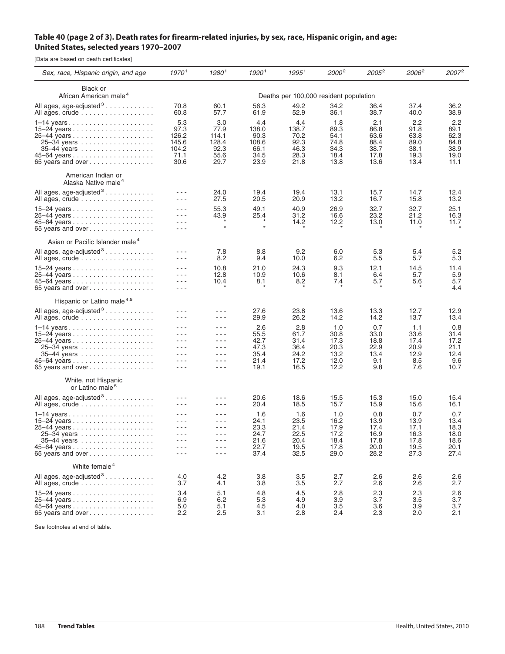## Table 40 (page 2 of 3). Death rates for firearm-related injuries, by sex, race, Hispanic origin, and age: **United States, selected years 1970–2007**

[Data are based on death certificates]

| Sex, race, Hispanic origin, and age                                                                         | 19701                                                                                                                                                                                                                                                                                                                                                                                                                                     | 19801                                                                                                                                                                                                                                                                                                                                                                                                                                                                                                                                                                                                                                                                                                                                                                                                                                         | 19901                                                 | $1995^1$                                             | 2000 <sup>2</sup>                                   | $2005^2$                                            | 2006 <sup>2</sup>                                   | $2007^2$                                            |  |
|-------------------------------------------------------------------------------------------------------------|-------------------------------------------------------------------------------------------------------------------------------------------------------------------------------------------------------------------------------------------------------------------------------------------------------------------------------------------------------------------------------------------------------------------------------------------|-----------------------------------------------------------------------------------------------------------------------------------------------------------------------------------------------------------------------------------------------------------------------------------------------------------------------------------------------------------------------------------------------------------------------------------------------------------------------------------------------------------------------------------------------------------------------------------------------------------------------------------------------------------------------------------------------------------------------------------------------------------------------------------------------------------------------------------------------|-------------------------------------------------------|------------------------------------------------------|-----------------------------------------------------|-----------------------------------------------------|-----------------------------------------------------|-----------------------------------------------------|--|
| Black or<br>African American male <sup>4</sup>                                                              | Deaths per 100,000 resident population                                                                                                                                                                                                                                                                                                                                                                                                    |                                                                                                                                                                                                                                                                                                                                                                                                                                                                                                                                                                                                                                                                                                                                                                                                                                               |                                                       |                                                      |                                                     |                                                     |                                                     |                                                     |  |
| All ages, age-adjusted <sup>3</sup><br>All ages, crude                                                      | 70.8<br>60.8                                                                                                                                                                                                                                                                                                                                                                                                                              | 60.1<br>57.7                                                                                                                                                                                                                                                                                                                                                                                                                                                                                                                                                                                                                                                                                                                                                                                                                                  | 56.3<br>61.9                                          | 49.2<br>52.9                                         | 34.2<br>36.1                                        | 36.4<br>38.7                                        | 37.4<br>40.0                                        | 36.2<br>38.9                                        |  |
| 25–34 years<br>35–44 years<br>65 years and over $\dots \dots \dots \dots \dots$                             | 5.3<br>97.3<br>126.2<br>145.6<br>104.2<br>71.1<br>30.6                                                                                                                                                                                                                                                                                                                                                                                    | 3.0<br>77.9<br>114.1<br>128.4<br>92.3<br>55.6<br>29.7                                                                                                                                                                                                                                                                                                                                                                                                                                                                                                                                                                                                                                                                                                                                                                                         | 4.4<br>138.0<br>90.3<br>108.6<br>66.1<br>34.5<br>23.9 | 4.4<br>138.7<br>70.2<br>92.3<br>46.3<br>28.3<br>21.8 | 1.8<br>89.3<br>54.1<br>74.8<br>34.3<br>18.4<br>13.8 | 2.1<br>86.8<br>63.6<br>88.4<br>38.7<br>17.8<br>13.6 | 2.2<br>91.8<br>63.8<br>89.0<br>38.1<br>19.3<br>13.4 | 2.2<br>89.1<br>62.3<br>84.8<br>38.9<br>19.0<br>11.1 |  |
| American Indian or<br>Alaska Native male <sup>4</sup>                                                       |                                                                                                                                                                                                                                                                                                                                                                                                                                           |                                                                                                                                                                                                                                                                                                                                                                                                                                                                                                                                                                                                                                                                                                                                                                                                                                               |                                                       |                                                      |                                                     |                                                     |                                                     |                                                     |  |
| All ages, age-adjusted <sup>3</sup><br>All ages, crude                                                      | ---<br>$  -$                                                                                                                                                                                                                                                                                                                                                                                                                              | 24.0<br>27.5                                                                                                                                                                                                                                                                                                                                                                                                                                                                                                                                                                                                                                                                                                                                                                                                                                  | 19.4<br>20.5                                          | 19.4<br>20.9                                         | 13.1<br>13.2                                        | 15.7<br>16.7                                        | 14.7<br>15.8                                        | 12.4<br>13.2                                        |  |
| 65 years and over                                                                                           | $  -$<br>$  -$<br>- - -<br>$  -$                                                                                                                                                                                                                                                                                                                                                                                                          | 55.3<br>43.9<br>$\star$                                                                                                                                                                                                                                                                                                                                                                                                                                                                                                                                                                                                                                                                                                                                                                                                                       | 49.1<br>25.4                                          | 40.9<br>31.2<br>14.2                                 | 26.9<br>16.6<br>12.2                                | 32.7<br>23.2<br>13.0                                | 32.7<br>21.2<br>11.0                                | 25.1<br>16.3<br>11.7                                |  |
| Asian or Pacific Islander male <sup>4</sup>                                                                 |                                                                                                                                                                                                                                                                                                                                                                                                                                           |                                                                                                                                                                                                                                                                                                                                                                                                                                                                                                                                                                                                                                                                                                                                                                                                                                               |                                                       |                                                      |                                                     |                                                     |                                                     |                                                     |  |
| All ages, age-adjusted <sup>3</sup><br>All ages, crude                                                      | - - -<br>$  -$                                                                                                                                                                                                                                                                                                                                                                                                                            | 7.8<br>8.2                                                                                                                                                                                                                                                                                                                                                                                                                                                                                                                                                                                                                                                                                                                                                                                                                                    | 8.8<br>9.4                                            | 9.2<br>10.0                                          | 6.0<br>6.2                                          | 5.3<br>5.5                                          | 5.4<br>5.7                                          | 5.2<br>5.3                                          |  |
| 65 years and over                                                                                           | $  -$<br>$  -$<br>---<br>$  -$                                                                                                                                                                                                                                                                                                                                                                                                            | 10.8<br>12.8<br>10.4                                                                                                                                                                                                                                                                                                                                                                                                                                                                                                                                                                                                                                                                                                                                                                                                                          | 21.0<br>10.9<br>8.1                                   | 24.3<br>10.6<br>8.2                                  | 9.3<br>8.1<br>7.4                                   | 12.1<br>6.4<br>5.7                                  | 14.5<br>5.7<br>5.6                                  | 11.4<br>5.9<br>5.7<br>4.4                           |  |
| Hispanic or Latino male <sup>4,5</sup>                                                                      |                                                                                                                                                                                                                                                                                                                                                                                                                                           |                                                                                                                                                                                                                                                                                                                                                                                                                                                                                                                                                                                                                                                                                                                                                                                                                                               |                                                       |                                                      |                                                     |                                                     |                                                     |                                                     |  |
| All ages, age-adjusted <sup>3</sup><br>All ages, crude                                                      | - - -<br>- - -                                                                                                                                                                                                                                                                                                                                                                                                                            | - - -<br>$- - -$                                                                                                                                                                                                                                                                                                                                                                                                                                                                                                                                                                                                                                                                                                                                                                                                                              | 27.6<br>29.9                                          | 23.8<br>26.2                                         | 13.6<br>14.2                                        | 13.3<br>14.2                                        | 12.7<br>13.7                                        | 12.9<br>13.4                                        |  |
| 1–14 years<br>25–34 years<br>35–44 years<br>65 years and over $\dots \dots \dots \dots$                     | $  -$<br>$  -$<br>$- - -$<br>- - -<br>$  -$<br>$  -$<br>$- - -$                                                                                                                                                                                                                                                                                                                                                                           | $  -$<br>- - -<br>$\frac{1}{2} \frac{1}{2} \frac{1}{2} \frac{1}{2} \frac{1}{2} \frac{1}{2} \frac{1}{2} \frac{1}{2} \frac{1}{2} \frac{1}{2} \frac{1}{2} \frac{1}{2} \frac{1}{2} \frac{1}{2} \frac{1}{2} \frac{1}{2} \frac{1}{2} \frac{1}{2} \frac{1}{2} \frac{1}{2} \frac{1}{2} \frac{1}{2} \frac{1}{2} \frac{1}{2} \frac{1}{2} \frac{1}{2} \frac{1}{2} \frac{1}{2} \frac{1}{2} \frac{1}{2} \frac{1}{2} \frac{$<br>$- - -$<br>$- - -$<br>$\frac{1}{2} \frac{1}{2} \frac{1}{2} \frac{1}{2} \frac{1}{2} \frac{1}{2} \frac{1}{2} \frac{1}{2} \frac{1}{2} \frac{1}{2} \frac{1}{2} \frac{1}{2} \frac{1}{2} \frac{1}{2} \frac{1}{2} \frac{1}{2} \frac{1}{2} \frac{1}{2} \frac{1}{2} \frac{1}{2} \frac{1}{2} \frac{1}{2} \frac{1}{2} \frac{1}{2} \frac{1}{2} \frac{1}{2} \frac{1}{2} \frac{1}{2} \frac{1}{2} \frac{1}{2} \frac{1}{2} \frac{$<br>$  -$ | 2.6<br>55.5<br>42.7<br>47.3<br>35.4<br>21.4<br>19.1   | 2.8<br>61.7<br>31.4<br>36.4<br>24.2<br>17.2<br>16.5  | 1.0<br>30.8<br>17.3<br>20.3<br>13.2<br>12.0<br>12.2 | 0.7<br>33.0<br>18.8<br>22.9<br>13.4<br>9.1<br>9.8   | 1.1<br>33.6<br>17.4<br>20.9<br>12.9<br>8.5<br>7.6   | 0.8<br>31.4<br>17.2<br>21.1<br>12.4<br>9.6<br>10.7  |  |
| White, not Hispanic<br>or Latino male <sup>5</sup>                                                          |                                                                                                                                                                                                                                                                                                                                                                                                                                           |                                                                                                                                                                                                                                                                                                                                                                                                                                                                                                                                                                                                                                                                                                                                                                                                                                               |                                                       |                                                      |                                                     |                                                     |                                                     |                                                     |  |
| All ages, age-adjusted <sup>3</sup><br>All ages, crude                                                      | $  -$<br>- - -                                                                                                                                                                                                                                                                                                                                                                                                                            | - - -<br>- - -                                                                                                                                                                                                                                                                                                                                                                                                                                                                                                                                                                                                                                                                                                                                                                                                                                | 20.6<br>20.4                                          | 18.6<br>18.5                                         | 15.5<br>15.7                                        | 15.3<br>15.9                                        | 15.0<br>15.6                                        | 15.4<br>16.1                                        |  |
| $1-14$ years $\ldots \ldots \ldots \ldots \ldots \ldots$<br>25–34 years<br>35-44 years<br>65 years and over | - - -<br>$  -$<br>$\frac{1}{2} \frac{1}{2} \frac{1}{2} \frac{1}{2} \frac{1}{2} \frac{1}{2} \frac{1}{2} \frac{1}{2} \frac{1}{2} \frac{1}{2} \frac{1}{2} \frac{1}{2} \frac{1}{2} \frac{1}{2} \frac{1}{2} \frac{1}{2} \frac{1}{2} \frac{1}{2} \frac{1}{2} \frac{1}{2} \frac{1}{2} \frac{1}{2} \frac{1}{2} \frac{1}{2} \frac{1}{2} \frac{1}{2} \frac{1}{2} \frac{1}{2} \frac{1}{2} \frac{1}{2} \frac{1}{2} \frac{$<br>$  -$<br>$  -$<br>$  -$ | $  -$<br>- - -<br>$\frac{1}{2}$<br>$- - -$<br>- - -<br>$  -$                                                                                                                                                                                                                                                                                                                                                                                                                                                                                                                                                                                                                                                                                                                                                                                  | 1.6<br>24.1<br>23.3<br>24.7<br>21.6<br>22.7<br>37.4   | 1.6<br>23.5<br>21.4<br>22.5<br>20.4<br>19.5<br>32.5  | 1.0<br>16.2<br>17.9<br>17.2<br>18.4<br>17.8<br>29.0 | 0.8<br>13.9<br>17.4<br>16.9<br>17.8<br>20.0<br>28.2 | 0.7<br>13.9<br>17.1<br>16.3<br>17.8<br>19.5<br>27.3 | 0.7<br>13.4<br>18.3<br>18.0<br>18.6<br>20.1<br>27.4 |  |
| White female <sup>4</sup>                                                                                   |                                                                                                                                                                                                                                                                                                                                                                                                                                           |                                                                                                                                                                                                                                                                                                                                                                                                                                                                                                                                                                                                                                                                                                                                                                                                                                               |                                                       |                                                      |                                                     |                                                     |                                                     |                                                     |  |
| All ages, age-adjusted <sup>3</sup><br>All ages, crude                                                      | 4.0<br>3.7                                                                                                                                                                                                                                                                                                                                                                                                                                | 4.2<br>4.1                                                                                                                                                                                                                                                                                                                                                                                                                                                                                                                                                                                                                                                                                                                                                                                                                                    | 3.8<br>3.8                                            | 3.5<br>3.5                                           | 2.7<br>2.7                                          | 2.6<br>2.6                                          | 2.6<br>2.6                                          | 2.6<br>2.7                                          |  |
| 65 years and over                                                                                           | 3.4<br>6.9<br>5.0<br>2.2                                                                                                                                                                                                                                                                                                                                                                                                                  | 5.1<br>6.2<br>5.1<br>2.5                                                                                                                                                                                                                                                                                                                                                                                                                                                                                                                                                                                                                                                                                                                                                                                                                      | 4.8<br>5.3<br>4.5<br>3.1                              | 4.5<br>4.9<br>4.0<br>2.8                             | 2.8<br>3.9<br>3.5<br>2.4                            | 2.3<br>3.7<br>3.6<br>2.3                            | 2.3<br>3.5<br>3.9<br>2.0                            | 2.6<br>3.7<br>3.7<br>2.1                            |  |

See footnotes at end of table.